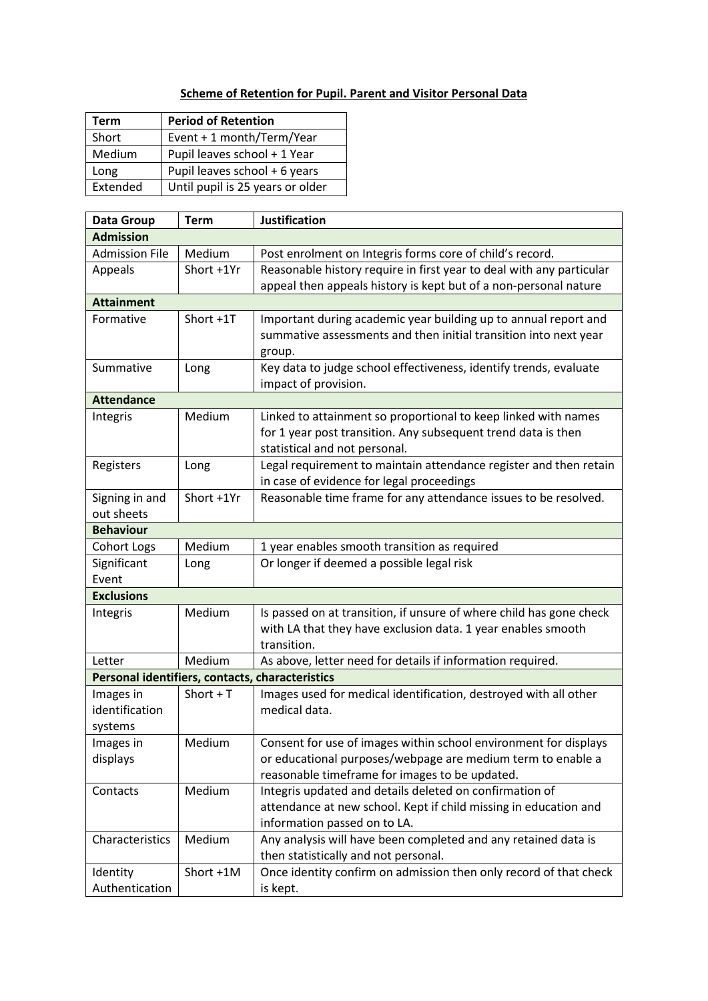## **Scheme of Retention for Pupil. Parent and Visitor Personal Data**

| Term     | <b>Period of Retention</b>       |
|----------|----------------------------------|
| Short    | Event + 1 month/Term/Year        |
| Medium   | Pupil leaves school + 1 Year     |
| Long     | Pupil leaves school + 6 years    |
| Extended | Until pupil is 25 years or older |

| Data Group                                      | <b>Term</b> | <b>Justification</b>                                                 |  |  |
|-------------------------------------------------|-------------|----------------------------------------------------------------------|--|--|
| <b>Admission</b>                                |             |                                                                      |  |  |
| <b>Admission File</b>                           | Medium      | Post enrolment on Integris forms core of child's record.             |  |  |
| Appeals                                         | Short +1Yr  | Reasonable history require in first year to deal with any particular |  |  |
|                                                 |             | appeal then appeals history is kept but of a non-personal nature     |  |  |
| <b>Attainment</b>                               |             |                                                                      |  |  |
| Formative                                       | Short +1T   | Important during academic year building up to annual report and      |  |  |
|                                                 |             | summative assessments and then initial transition into next year     |  |  |
|                                                 |             | group.                                                               |  |  |
| Summative                                       | Long        | Key data to judge school effectiveness, identify trends, evaluate    |  |  |
|                                                 |             | impact of provision.                                                 |  |  |
| <b>Attendance</b>                               |             |                                                                      |  |  |
| Integris                                        | Medium      | Linked to attainment so proportional to keep linked with names       |  |  |
|                                                 |             | for 1 year post transition. Any subsequent trend data is then        |  |  |
|                                                 |             | statistical and not personal.                                        |  |  |
| Registers                                       | Long        | Legal requirement to maintain attendance register and then retain    |  |  |
|                                                 |             | in case of evidence for legal proceedings                            |  |  |
| Signing in and                                  | Short +1Yr  | Reasonable time frame for any attendance issues to be resolved.      |  |  |
| out sheets                                      |             |                                                                      |  |  |
| <b>Behaviour</b>                                |             |                                                                      |  |  |
| Cohort Logs                                     | Medium      | 1 year enables smooth transition as required                         |  |  |
| Significant                                     | Long        | Or longer if deemed a possible legal risk                            |  |  |
| Event                                           |             |                                                                      |  |  |
| <b>Exclusions</b>                               |             |                                                                      |  |  |
| Integris                                        | Medium      | Is passed on at transition, if unsure of where child has gone check  |  |  |
|                                                 |             | with LA that they have exclusion data. 1 year enables smooth         |  |  |
|                                                 |             | transition.                                                          |  |  |
| Letter                                          | Medium      | As above, letter need for details if information required.           |  |  |
| Personal identifiers, contacts, characteristics |             |                                                                      |  |  |
| Images in                                       | Short $+T$  | Images used for medical identification, destroyed with all other     |  |  |
| identification                                  |             | medical data.                                                        |  |  |
| systems                                         |             |                                                                      |  |  |
| Images in                                       | Medium      | Consent for use of images within school environment for displays     |  |  |
| displays                                        |             | or educational purposes/webpage are medium term to enable a          |  |  |
|                                                 |             | reasonable timeframe for images to be updated.                       |  |  |
| Contacts                                        | Medium      | Integris updated and details deleted on confirmation of              |  |  |
|                                                 |             | attendance at new school. Kept if child missing in education and     |  |  |
|                                                 |             | information passed on to LA.                                         |  |  |
| Characteristics                                 | Medium      | Any analysis will have been completed and any retained data is       |  |  |
|                                                 |             | then statistically and not personal.                                 |  |  |
| Identity                                        | Short +1M   | Once identity confirm on admission then only record of that check    |  |  |
| Authentication                                  |             | is kept.                                                             |  |  |